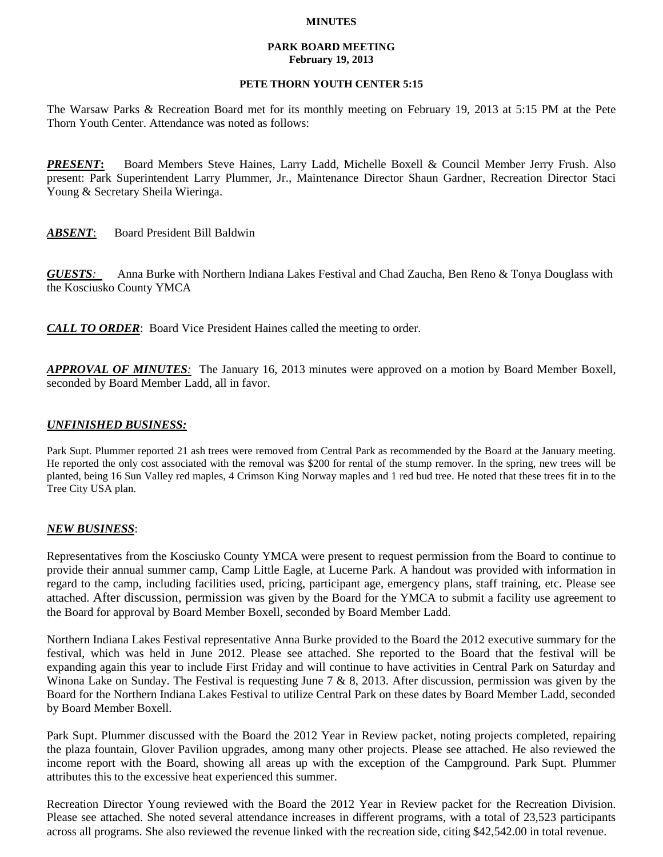### **MINUTES**

### **PARK BOARD MEETING February 19, 2013**

## **PETE THORN YOUTH CENTER 5:15**

The Warsaw Parks & Recreation Board met for its monthly meeting on February 19, 2013 at 5:15 PM at the Pete Thorn Youth Center. Attendance was noted as follows:

*PRESENT***:** Board Members Steve Haines, Larry Ladd, Michelle Boxell & Council Member Jerry Frush. Also present: Park Superintendent Larry Plummer, Jr., Maintenance Director Shaun Gardner, Recreation Director Staci Young & Secretary Sheila Wieringa.

*ABSENT*: Board President Bill Baldwin

*GUESTS:*Anna Burke with Northern Indiana Lakes Festival and Chad Zaucha, Ben Reno & Tonya Douglass with the Kosciusko County YMCA

*CALL TO ORDER*: Board Vice President Haines called the meeting to order.

*APPROVAL OF MINUTES:* The January 16, 2013 minutes were approved on a motion by Board Member Boxell, seconded by Board Member Ladd, all in favor.

# *UNFINISHED BUSINESS:*

Park Supt. Plummer reported 21 ash trees were removed from Central Park as recommended by the Board at the January meeting. He reported the only cost associated with the removal was \$200 for rental of the stump remover. In the spring, new trees will be planted, being 16 Sun Valley red maples, 4 Crimson King Norway maples and 1 red bud tree. He noted that these trees fit in to the Tree City USA plan.

## *NEW BUSINESS*:

Representatives from the Kosciusko County YMCA were present to request permission from the Board to continue to provide their annual summer camp, Camp Little Eagle, at Lucerne Park. A handout was provided with information in regard to the camp, including facilities used, pricing, participant age, emergency plans, staff training, etc. Please see attached. After discussion, permission was given by the Board for the YMCA to submit a facility use agreement to the Board for approval by Board Member Boxell, seconded by Board Member Ladd.

Northern Indiana Lakes Festival representative Anna Burke provided to the Board the 2012 executive summary for the festival, which was held in June 2012. Please see attached. She reported to the Board that the festival will be expanding again this year to include First Friday and will continue to have activities in Central Park on Saturday and Winona Lake on Sunday. The Festival is requesting June 7 & 8, 2013. After discussion, permission was given by the Board for the Northern Indiana Lakes Festival to utilize Central Park on these dates by Board Member Ladd, seconded by Board Member Boxell.

Park Supt. Plummer discussed with the Board the 2012 Year in Review packet, noting projects completed, repairing the plaza fountain, Glover Pavilion upgrades, among many other projects. Please see attached. He also reviewed the income report with the Board, showing all areas up with the exception of the Campground. Park Supt. Plummer attributes this to the excessive heat experienced this summer.

Recreation Director Young reviewed with the Board the 2012 Year in Review packet for the Recreation Division. Please see attached. She noted several attendance increases in different programs, with a total of 23,523 participants across all programs. She also reviewed the revenue linked with the recreation side, citing \$42,542.00 in total revenue.